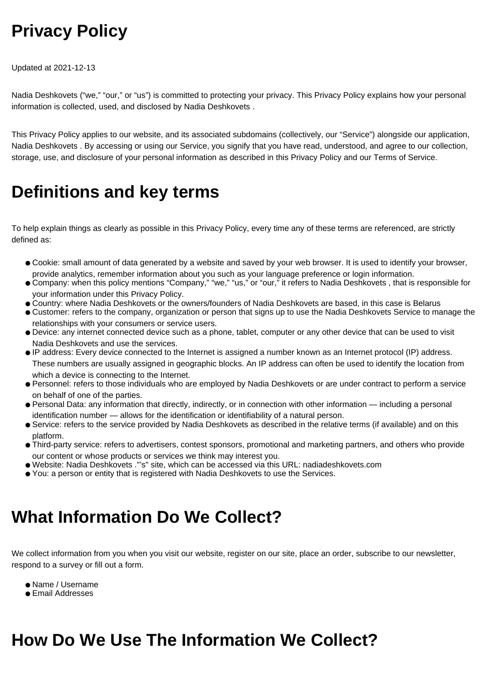# **Privacy Policy**

Updated at 2021-12-13

Nadia Deshkovets ("we," "our," or "us") is committed to protecting your privacy. This Privacy Policy explains how your personal information is collected, used, and disclosed by Nadia Deshkovets .

This Privacy Policy applies to our website, and its associated subdomains (collectively, our "Service") alongside our application, Nadia Deshkovets . By accessing or using our Service, you signify that you have read, understood, and agree to our collection, storage, use, and disclosure of your personal information as described in this Privacy Policy and our Terms of Service.

#### **Definitions and key terms**

To help explain things as clearly as possible in this Privacy Policy, every time any of these terms are referenced, are strictly defined as:

- Cookie: small amount of data generated by a website and saved by your web browser. It is used to identify your browser, provide analytics, remember information about you such as your language preference or login information.
- Company: when this policy mentions "Company," "we," "us," or "our," it refers to Nadia Deshkovets , that is responsible for your information under this Privacy Policy.
- Country: where Nadia Deshkovets or the owners/founders of Nadia Deshkovets are based, in this case is Belarus
- Customer: refers to the company, organization or person that signs up to use the Nadia Deshkovets Service to manage the relationships with your consumers or service users.
- Device: any internet connected device such as a phone, tablet, computer or any other device that can be used to visit Nadia Deshkovets and use the services.
- IP address: Every device connected to the Internet is assigned a number known as an Internet protocol (IP) address. These numbers are usually assigned in geographic blocks. An IP address can often be used to identify the location from which a device is connecting to the Internet.
- Personnel: refers to those individuals who are employed by Nadia Deshkovets or are under contract to perform a service on behalf of one of the parties.
- Personal Data: any information that directly, indirectly, or in connection with other information including a personal identification number — allows for the identification or identifiability of a natural person.
- Service: refers to the service provided by Nadia Deshkovets as described in the relative terms (if available) and on this platform.
- Third-party service: refers to advertisers, contest sponsors, promotional and marketing partners, and others who provide our content or whose products or services we think may interest you.
- Website: Nadia Deshkovets ."'s" site, which can be accessed via this URL: nadiadeshkovets.com
- You: a person or entity that is registered with Nadia Deshkovets to use the Services.

### **What Information Do We Collect?**

We collect information from you when you visit our website, register on our site, place an order, subscribe to our newsletter, respond to a survey or fill out a form.

- Name / Username
- Email Addresses

### **How Do We Use The Information We Collect?**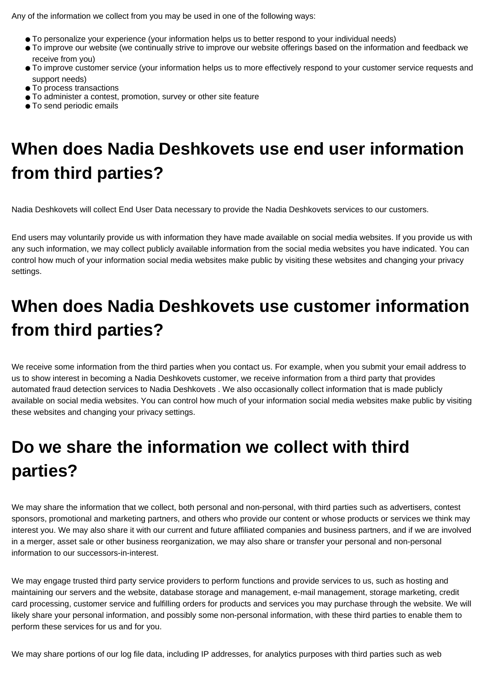Any of the information we collect from you may be used in one of the following ways:

- To personalize your experience (your information helps us to better respond to your individual needs)
- To improve our website (we continually strive to improve our website offerings based on the information and feedback we receive from you)
- To improve customer service (your information helps us to more effectively respond to your customer service requests and support needs)
- To process transactions
- To administer a contest, promotion, survey or other site feature
- To send periodic emails

## **When does Nadia Deshkovets use end user information from third parties?**

Nadia Deshkovets will collect End User Data necessary to provide the Nadia Deshkovets services to our customers.

End users may voluntarily provide us with information they have made available on social media websites. If you provide us with any such information, we may collect publicly available information from the social media websites you have indicated. You can control how much of your information social media websites make public by visiting these websites and changing your privacy settings.

## **When does Nadia Deshkovets use customer information from third parties?**

We receive some information from the third parties when you contact us. For example, when you submit your email address to us to show interest in becoming a Nadia Deshkovets customer, we receive information from a third party that provides automated fraud detection services to Nadia Deshkovets . We also occasionally collect information that is made publicly available on social media websites. You can control how much of your information social media websites make public by visiting these websites and changing your privacy settings.

# **Do we share the information we collect with third parties?**

We may share the information that we collect, both personal and non-personal, with third parties such as advertisers, contest sponsors, promotional and marketing partners, and others who provide our content or whose products or services we think may interest you. We may also share it with our current and future affiliated companies and business partners, and if we are involved in a merger, asset sale or other business reorganization, we may also share or transfer your personal and non-personal information to our successors-in-interest.

We may engage trusted third party service providers to perform functions and provide services to us, such as hosting and maintaining our servers and the website, database storage and management, e-mail management, storage marketing, credit card processing, customer service and fulfilling orders for products and services you may purchase through the website. We will likely share your personal information, and possibly some non-personal information, with these third parties to enable them to perform these services for us and for you.

We may share portions of our log file data, including IP addresses, for analytics purposes with third parties such as web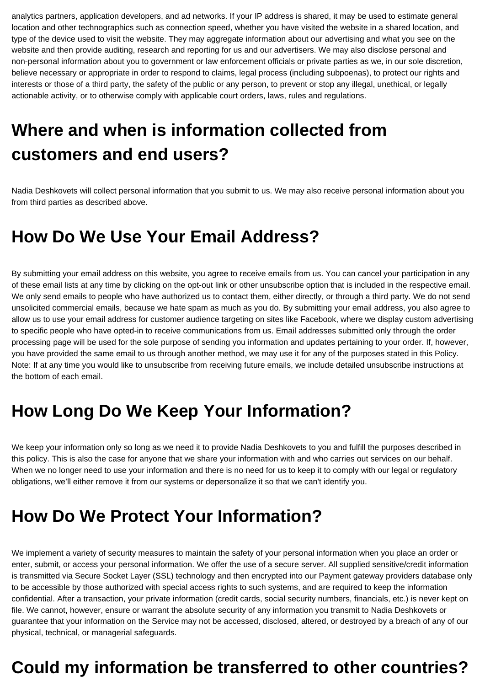analytics partners, application developers, and ad networks. If your IP address is shared, it may be used to estimate general location and other technographics such as connection speed, whether you have visited the website in a shared location, and type of the device used to visit the website. They may aggregate information about our advertising and what you see on the website and then provide auditing, research and reporting for us and our advertisers. We may also disclose personal and non-personal information about you to government or law enforcement officials or private parties as we, in our sole discretion, believe necessary or appropriate in order to respond to claims, legal process (including subpoenas), to protect our rights and interests or those of a third party, the safety of the public or any person, to prevent or stop any illegal, unethical, or legally actionable activity, or to otherwise comply with applicable court orders, laws, rules and regulations.

# **Where and when is information collected from customers and end users?**

Nadia Deshkovets will collect personal information that you submit to us. We may also receive personal information about you from third parties as described above.

#### **How Do We Use Your Email Address?**

By submitting your email address on this website, you agree to receive emails from us. You can cancel your participation in any of these email lists at any time by clicking on the opt-out link or other unsubscribe option that is included in the respective email. We only send emails to people who have authorized us to contact them, either directly, or through a third party. We do not send unsolicited commercial emails, because we hate spam as much as you do. By submitting your email address, you also agree to allow us to use your email address for customer audience targeting on sites like Facebook, where we display custom advertising to specific people who have opted-in to receive communications from us. Email addresses submitted only through the order processing page will be used for the sole purpose of sending you information and updates pertaining to your order. If, however, you have provided the same email to us through another method, we may use it for any of the purposes stated in this Policy. Note: If at any time you would like to unsubscribe from receiving future emails, we include detailed unsubscribe instructions at the bottom of each email.

### **How Long Do We Keep Your Information?**

We keep your information only so long as we need it to provide Nadia Deshkovets to you and fulfill the purposes described in this policy. This is also the case for anyone that we share your information with and who carries out services on our behalf. When we no longer need to use your information and there is no need for us to keep it to comply with our legal or regulatory obligations, we'll either remove it from our systems or depersonalize it so that we can't identify you.

### **How Do We Protect Your Information?**

We implement a variety of security measures to maintain the safety of your personal information when you place an order or enter, submit, or access your personal information. We offer the use of a secure server. All supplied sensitive/credit information is transmitted via Secure Socket Layer (SSL) technology and then encrypted into our Payment gateway providers database only to be accessible by those authorized with special access rights to such systems, and are required to keep the information confidential. After a transaction, your private information (credit cards, social security numbers, financials, etc.) is never kept on file. We cannot, however, ensure or warrant the absolute security of any information you transmit to Nadia Deshkovets or guarantee that your information on the Service may not be accessed, disclosed, altered, or destroyed by a breach of any of our physical, technical, or managerial safeguards.

### **Could my information be transferred to other countries?**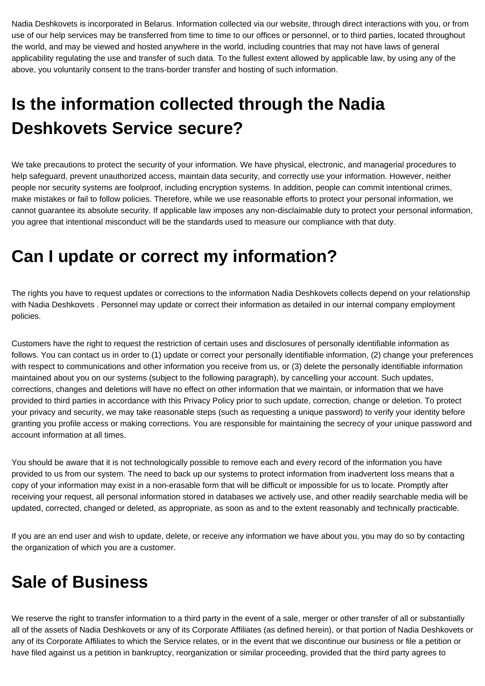Nadia Deshkovets is incorporated in Belarus. Information collected via our website, through direct interactions with you, or from use of our help services may be transferred from time to time to our offices or personnel, or to third parties, located throughout the world, and may be viewed and hosted anywhere in the world, including countries that may not have laws of general applicability regulating the use and transfer of such data. To the fullest extent allowed by applicable law, by using any of the above, you voluntarily consent to the trans-border transfer and hosting of such information.

# **Is the information collected through the Nadia Deshkovets Service secure?**

We take precautions to protect the security of your information. We have physical, electronic, and managerial procedures to help safeguard, prevent unauthorized access, maintain data security, and correctly use your information. However, neither people nor security systems are foolproof, including encryption systems. In addition, people can commit intentional crimes, make mistakes or fail to follow policies. Therefore, while we use reasonable efforts to protect your personal information, we cannot guarantee its absolute security. If applicable law imposes any non-disclaimable duty to protect your personal information, you agree that intentional misconduct will be the standards used to measure our compliance with that duty.

### **Can I update or correct my information?**

The rights you have to request updates or corrections to the information Nadia Deshkovets collects depend on your relationship with Nadia Deshkovets . Personnel may update or correct their information as detailed in our internal company employment policies.

Customers have the right to request the restriction of certain uses and disclosures of personally identifiable information as follows. You can contact us in order to (1) update or correct your personally identifiable information, (2) change your preferences with respect to communications and other information you receive from us, or (3) delete the personally identifiable information maintained about you on our systems (subject to the following paragraph), by cancelling your account. Such updates, corrections, changes and deletions will have no effect on other information that we maintain, or information that we have provided to third parties in accordance with this Privacy Policy prior to such update, correction, change or deletion. To protect your privacy and security, we may take reasonable steps (such as requesting a unique password) to verify your identity before granting you profile access or making corrections. You are responsible for maintaining the secrecy of your unique password and account information at all times.

You should be aware that it is not technologically possible to remove each and every record of the information you have provided to us from our system. The need to back up our systems to protect information from inadvertent loss means that a copy of your information may exist in a non-erasable form that will be difficult or impossible for us to locate. Promptly after receiving your request, all personal information stored in databases we actively use, and other readily searchable media will be updated, corrected, changed or deleted, as appropriate, as soon as and to the extent reasonably and technically practicable.

If you are an end user and wish to update, delete, or receive any information we have about you, you may do so by contacting the organization of which you are a customer.

### **Sale of Business**

We reserve the right to transfer information to a third party in the event of a sale, merger or other transfer of all or substantially all of the assets of Nadia Deshkovets or any of its Corporate Affiliates (as defined herein), or that portion of Nadia Deshkovets or any of its Corporate Affiliates to which the Service relates, or in the event that we discontinue our business or file a petition or have filed against us a petition in bankruptcy, reorganization or similar proceeding, provided that the third party agrees to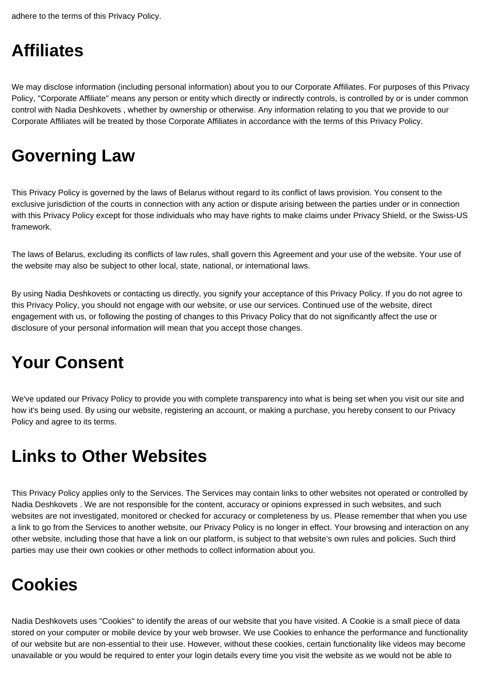adhere to the terms of this Privacy Policy.

#### **Affiliates**

We may disclose information (including personal information) about you to our Corporate Affiliates. For purposes of this Privacy Policy, "Corporate Affiliate" means any person or entity which directly or indirectly controls, is controlled by or is under common control with Nadia Deshkovets , whether by ownership or otherwise. Any information relating to you that we provide to our Corporate Affiliates will be treated by those Corporate Affiliates in accordance with the terms of this Privacy Policy.

## **Governing Law**

This Privacy Policy is governed by the laws of Belarus without regard to its conflict of laws provision. You consent to the exclusive jurisdiction of the courts in connection with any action or dispute arising between the parties under or in connection with this Privacy Policy except for those individuals who may have rights to make claims under Privacy Shield, or the Swiss-US framework.

The laws of Belarus, excluding its conflicts of law rules, shall govern this Agreement and your use of the website. Your use of the website may also be subject to other local, state, national, or international laws.

By using Nadia Deshkovets or contacting us directly, you signify your acceptance of this Privacy Policy. If you do not agree to this Privacy Policy, you should not engage with our website, or use our services. Continued use of the website, direct engagement with us, or following the posting of changes to this Privacy Policy that do not significantly affect the use or disclosure of your personal information will mean that you accept those changes.

## **Your Consent**

We've updated our Privacy Policy to provide you with complete transparency into what is being set when you visit our site and how it's being used. By using our website, registering an account, or making a purchase, you hereby consent to our Privacy Policy and agree to its terms.

### **Links to Other Websites**

This Privacy Policy applies only to the Services. The Services may contain links to other websites not operated or controlled by Nadia Deshkovets . We are not responsible for the content, accuracy or opinions expressed in such websites, and such websites are not investigated, monitored or checked for accuracy or completeness by us. Please remember that when you use a link to go from the Services to another website, our Privacy Policy is no longer in effect. Your browsing and interaction on any other website, including those that have a link on our platform, is subject to that website's own rules and policies. Such third parties may use their own cookies or other methods to collect information about you.

## **Cookies**

Nadia Deshkovets uses "Cookies" to identify the areas of our website that you have visited. A Cookie is a small piece of data stored on your computer or mobile device by your web browser. We use Cookies to enhance the performance and functionality of our website but are non-essential to their use. However, without these cookies, certain functionality like videos may become unavailable or you would be required to enter your login details every time you visit the website as we would not be able to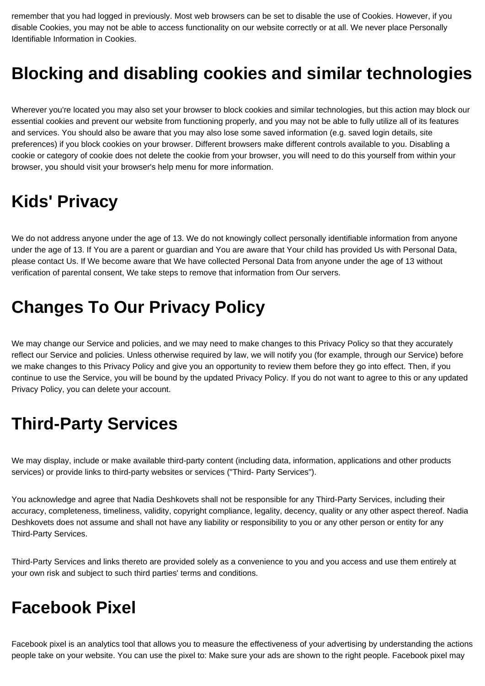remember that you had logged in previously. Most web browsers can be set to disable the use of Cookies. However, if you disable Cookies, you may not be able to access functionality on our website correctly or at all. We never place Personally Identifiable Information in Cookies.

#### **Blocking and disabling cookies and similar technologies**

Wherever you're located you may also set your browser to block cookies and similar technologies, but this action may block our essential cookies and prevent our website from functioning properly, and you may not be able to fully utilize all of its features and services. You should also be aware that you may also lose some saved information (e.g. saved login details, site preferences) if you block cookies on your browser. Different browsers make different controls available to you. Disabling a cookie or category of cookie does not delete the cookie from your browser, you will need to do this yourself from within your browser, you should visit your browser's help menu for more information.

### **Kids' Privacy**

We do not address anyone under the age of 13. We do not knowingly collect personally identifiable information from anyone under the age of 13. If You are a parent or guardian and You are aware that Your child has provided Us with Personal Data, please contact Us. If We become aware that We have collected Personal Data from anyone under the age of 13 without verification of parental consent, We take steps to remove that information from Our servers.

#### **Changes To Our Privacy Policy**

We may change our Service and policies, and we may need to make changes to this Privacy Policy so that they accurately reflect our Service and policies. Unless otherwise required by law, we will notify you (for example, through our Service) before we make changes to this Privacy Policy and give you an opportunity to review them before they go into effect. Then, if you continue to use the Service, you will be bound by the updated Privacy Policy. If you do not want to agree to this or any updated Privacy Policy, you can delete your account.

### **Third-Party Services**

We may display, include or make available third-party content (including data, information, applications and other products services) or provide links to third-party websites or services ("Third- Party Services").

You acknowledge and agree that Nadia Deshkovets shall not be responsible for any Third-Party Services, including their accuracy, completeness, timeliness, validity, copyright compliance, legality, decency, quality or any other aspect thereof. Nadia Deshkovets does not assume and shall not have any liability or responsibility to you or any other person or entity for any Third-Party Services.

Third-Party Services and links thereto are provided solely as a convenience to you and you access and use them entirely at your own risk and subject to such third parties' terms and conditions.

#### **Facebook Pixel**

Facebook pixel is an analytics tool that allows you to measure the effectiveness of your advertising by understanding the actions people take on your website. You can use the pixel to: Make sure your ads are shown to the right people. Facebook pixel may